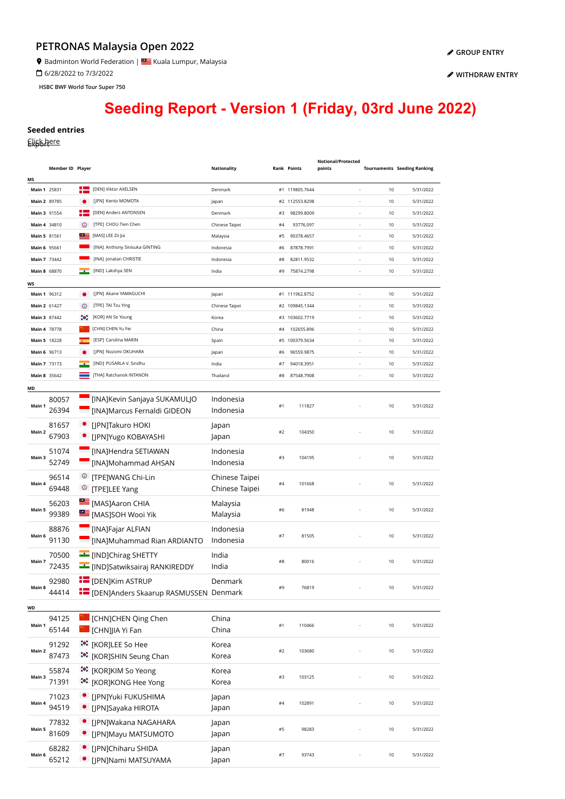## **PETRONAS Malaysia Open 2022**

**9** Badminton World Federation | **Star** Kuala Lumpur, Malaysia

6/28/2022 to 7/3/2022

**HSBC BWF World Tour Super 750**

**[WITHDRAW ENTRY](https://bwf.tournamentsoftware.com/sport/entry_management.aspx?id=54664723-055E-4136-8351-22359B769E39)**

## **Seeding Report - Version 1 (Friday, 03rd June 2022)**

## **Seeded entries**

Elisk here

|              |                  |             |                                                  |                    |       |                    | Notional/Protected       |      |                                    |
|--------------|------------------|-------------|--------------------------------------------------|--------------------|-------|--------------------|--------------------------|------|------------------------------------|
|              | Member ID Player |             |                                                  | <b>Nationality</b> |       | <b>Rank Points</b> | points                   |      | <b>Tournaments Seeding Ranking</b> |
| ΜS           |                  |             |                                                  |                    |       |                    |                          |      |                                    |
| Main 1 25831 |                  |             | [DEN] Viktor AXELSEN                             | Denmark            |       | #1 119805.7644     |                          | 10   | 5/31/2022                          |
| Main 2 89785 |                  |             | [JPN] Kento MOMOTA                               | Japan              |       | #2 112553.8298     |                          | 10   | 5/31/2022                          |
| Main 3 91554 |                  | ┽═          | [DEN] Anders ANTONSEN                            | Denmark            | #3    | 98299.8009         |                          | 10   | 5/31/2022                          |
| Main 4 34810 |                  | ⊙           | [TPE] CHOU Tien Chen                             | Chinese Taipei     | #4    | 93776.097          | $\overline{\phantom{a}}$ | 10   | 5/31/2022                          |
| Main 5 81561 |                  | $\circ$     | [MAS] LEE Zii Jia                                | Malaysia           | #5    | 90378.4657         | $\overline{\phantom{a}}$ | 10   | 5/31/2022                          |
| Main 6 95661 |                  |             | [INA] Anthony Sinisuka GINTING                   | Indonesia          | #6    | 87878.7991         | $\overline{\phantom{a}}$ | 10   | 5/31/2022                          |
| Main 7 73442 |                  |             | [INA] Jonatan CHRISTIE                           | Indonesia          | #8    | 82811.9532         | $\overline{\phantom{a}}$ | 10   | 5/31/2022                          |
| Main 8 68870 |                  |             | [IND] Lakshya SEN                                | India              | #9    | 75874.2798         | $\overline{\phantom{a}}$ | 10   | 5/31/2022                          |
| WS           |                  |             |                                                  |                    |       |                    |                          |      |                                    |
| Main 1 96312 |                  | ٠           | [JPN] Akane YAMAGUCHI                            | Japan              |       | #1 111962.8752     | ÷,                       | 10   | 5/31/2022                          |
| Main 2 61427 |                  | ⊛           | [TPE] TAI Tzu Ying                               | Chinese Taipei     |       | #2 109845.1344     |                          | 10   | 5/31/2022                          |
| Main 3 87442 |                  | $\bullet$ . | [KOR] AN Se Young                                | Korea              |       | #3 103602.7719     |                          | 10   | 5/31/2022                          |
| Main 4 78778 |                  |             | [CHN] CHEN Yu Fei                                | China              | #4    | 102655.896         | $\overline{\phantom{a}}$ | 10   | 5/31/2022                          |
| Main 5 18228 |                  |             | [ESP] Carolina MARIN                             | Spain              |       | #5 100379.5634     |                          | 10   | 5/31/2022                          |
| Main 6 96713 |                  |             | [JPN] Nozomi OKUHARA                             | Japan              | #6    | 96559.9875         | $\overline{\phantom{a}}$ | 10   | 5/31/2022                          |
| Main 7 73173 |                  |             | [IND] PUSARLA V. Sindhu                          | India              | #7    | 94018.3951         | $\overline{\phantom{a}}$ | 10   | 5/31/2022                          |
| Main 8 35642 |                  |             | [THA] Ratchanok INTANON                          | Thailand           |       | #8 87548.7908      | $\overline{\phantom{a}}$ | 10   | 5/31/2022                          |
| MD           |                  |             |                                                  |                    |       |                    |                          |      |                                    |
|              | 80057            |             | [INA]Kevin Sanjaya SUKAMULJO                     | Indonesia          |       |                    |                          |      |                                    |
| Main 1       | 26394            |             | [INA]Marcus Fernaldi GIDEON                      | Indonesia          | #1    | 111827             |                          | 10   | 5/31/2022                          |
|              |                  |             |                                                  |                    |       |                    |                          |      |                                    |
| Main 2       | 81657            |             | • [JPN]Takuro HOKI                               | Japan              | #2    | 104350             |                          | 10   | 5/31/2022                          |
|              | 67903            |             | • [JPN]Yugo KOBAYASHI                            | Japan              |       |                    |                          |      |                                    |
|              | 51074            |             | [INA]Hendra SETIAWAN                             | Indonesia          |       |                    |                          |      |                                    |
| Main 3       | 52749            |             | [INA]Mohammad AHSAN                              | Indonesia          | #3    | 104195             |                          | 10   | 5/31/2022                          |
|              | 96514            |             | <sup>©</sup> [TPE]WANG Chi-Lin                   | Chinese Taipei     |       |                    |                          |      |                                    |
| Main 4       | 69448            | ಄           | [TPE]LEE Yang                                    | Chinese Taipei     | #4    | 101668             |                          | 10   | 5/31/2022                          |
|              |                  |             |                                                  |                    |       |                    |                          |      |                                    |
| Main 5       | 56203            |             | [MAS]Aaron CHIA                                  | Malaysia           | #6    | 81948              |                          | 10   | 5/31/2022                          |
|              | 99389            |             | [MAS]SOH Wooi Yik                                | Malaysia           |       |                    |                          |      |                                    |
|              | 88876            | ▀           | [INA]Fajar ALFIAN                                | Indonesia          |       |                    |                          |      |                                    |
| Main 6       | 91130            | т           | [INA]Muhammad Rian ARDIANTO                      | Indonesia          | #7    | 81505              |                          | 10   | 5/31/2022                          |
|              | 70500            |             | <b>EXAMPLE THE EXAMPLE THE EXAMPLE THE</b>       | India              |       |                    |                          |      |                                    |
| Main 7       | 72435            |             | <b>E</b> [IND]Satwiksairaj RANKIREDDY            | India              | #8    | 80016              |                          | 10   | 5/31/2022                          |
|              |                  |             |                                                  |                    |       |                    |                          |      |                                    |
| Main 8       | 92980            |             | $E$ [DENIKIM ASTRUP                              | Denmark            | #9    | 76819              |                          | 10   | 5/31/2022                          |
|              | 44414            |             | <b>THE [DEN]Anders Skaarup RASMUSSEN Denmark</b> |                    |       |                    |                          |      |                                    |
| WD           |                  |             |                                                  |                    |       |                    |                          |      |                                    |
|              | 94125            |             | [CHN]CHEN Qing Chen                              | China              |       |                    |                          |      |                                    |
| Main 1       | 65144            |             | [CHN]JIA Yi Fan                                  | China              | $\#1$ | 110466             |                          | 10   | 5/31/2022                          |
|              | 91292            |             | <b><sup>:•</sup></b> [KOR]LEE So Hee             | Korea              |       |                    |                          |      |                                    |
| Main 2       | 87473            |             | :•: [KOR]SHIN Seung Chan                         | Korea              | $\#2$ | 103680             |                          | 10   | 5/31/2022                          |
|              |                  |             |                                                  |                    |       |                    |                          |      |                                    |
| Main 3       | 55874            |             | :•: [KOR]KIM So Yeong                            | Korea              | #3    | 103125             |                          | 10   | 5/31/2022                          |
|              | 71391            |             | :•: [KOR]KONG Hee Yong                           | Korea              |       |                    |                          |      |                                    |
| Main 4       | 71023            | $\bullet$   | [JPN]Yuki FUKUSHIMA                              | Japan              |       |                    |                          |      |                                    |
|              | 94519            | $\bullet$   | [JPN]Sayaka HIROTA                               | Japan              | $\#4$ | 102891             |                          | $10$ | 5/31/2022                          |
|              | 77832            | $\bullet$   | [JPN]Wakana NAGAHARA                             | Japan              |       |                    |                          |      |                                    |
| Main 5       | 81609            |             | [JPN]Mayu MATSUMOTO                              | Japan              | #5    | 98283              |                          | $10$ | 5/31/2022                          |
|              |                  |             |                                                  |                    |       |                    |                          |      |                                    |
| Main 6       | 68282            | ٠           | [JPN]Chiharu SHIDA                               | Japan              | #7    | 93743              |                          | 10   | 5/31/2022                          |
|              | 65212            | ٠           | [JPN]Nami MATSUYAMA                              | Japan              |       |                    |                          |      |                                    |